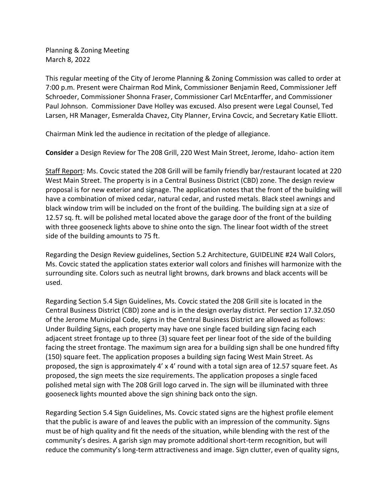Planning & Zoning Meeting March 8, 2022

This regular meeting of the City of Jerome Planning & Zoning Commission was called to order at 7:00 p.m. Present were Chairman Rod Mink, Commissioner Benjamin Reed, Commissioner Jeff Schroeder, Commissioner Shonna Fraser, Commissioner Carl McEntarffer, and Commissioner Paul Johnson. Commissioner Dave Holley was excused. Also present were Legal Counsel, Ted Larsen, HR Manager, Esmeralda Chavez, City Planner, Ervina Covcic, and Secretary Katie Elliott.

Chairman Mink led the audience in recitation of the pledge of allegiance.

**Consider** a Design Review for The 208 Grill, 220 West Main Street, Jerome, Idaho- action item

Staff Report: Ms. Covcic stated the 208 Grill will be family friendly bar/restaurant located at 220 West Main Street. The property is in a Central Business District (CBD) zone. The design review proposal is for new exterior and signage. The application notes that the front of the building will have a combination of mixed cedar, natural cedar, and rusted metals. Black steel awnings and black window trim will be included on the front of the building. The building sign at a size of 12.57 sq. ft. will be polished metal located above the garage door of the front of the building with three gooseneck lights above to shine onto the sign. The linear foot width of the street side of the building amounts to 75 ft.

Regarding the Design Review guidelines, Section 5.2 Architecture, GUIDELINE #24 Wall Colors, Ms. Covcic stated the application states exterior wall colors and finishes will harmonize with the surrounding site. Colors such as neutral light browns, dark browns and black accents will be used.

Regarding Section 5.4 Sign Guidelines, Ms. Covcic stated the 208 Grill site is located in the Central Business District (CBD) zone and is in the design overlay district. Per section 17.32.050 of the Jerome Municipal Code, signs in the Central Business District are allowed as follows: Under Building Signs, each property may have one single faced building sign facing each adjacent street frontage up to three (3) square feet per linear foot of the side of the building facing the street frontage. The maximum sign area for a building sign shall be one hundred fifty (150) square feet. The application proposes a building sign facing West Main Street. As proposed, the sign is approximately 4' x 4' round with a total sign area of 12.57 square feet. As proposed, the sign meets the size requirements. The application proposes a single faced polished metal sign with The 208 Grill logo carved in. The sign will be illuminated with three gooseneck lights mounted above the sign shining back onto the sign.

Regarding Section 5.4 Sign Guidelines, Ms. Covcic stated signs are the highest profile element that the public is aware of and leaves the public with an impression of the community. Signs must be of high quality and fit the needs of the situation, while blending with the rest of the community's desires. A garish sign may promote additional short-term recognition, but will reduce the community's long-term attractiveness and image. Sign clutter, even of quality signs,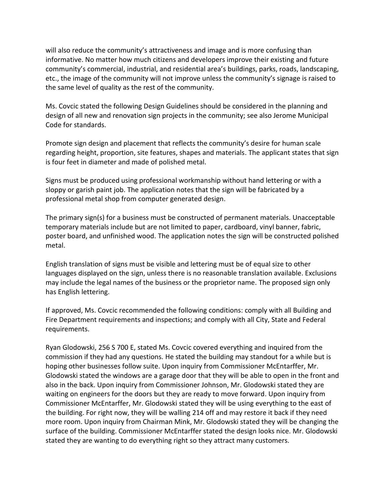will also reduce the community's attractiveness and image and is more confusing than informative. No matter how much citizens and developers improve their existing and future community's commercial, industrial, and residential area's buildings, parks, roads, landscaping, etc., the image of the community will not improve unless the community's signage is raised to the same level of quality as the rest of the community.

Ms. Covcic stated the following Design Guidelines should be considered in the planning and design of all new and renovation sign projects in the community; see also Jerome Municipal Code for standards.

Promote sign design and placement that reflects the community's desire for human scale regarding height, proportion, site features, shapes and materials. The applicant states that sign is four feet in diameter and made of polished metal.

Signs must be produced using professional workmanship without hand lettering or with a sloppy or garish paint job. The application notes that the sign will be fabricated by a professional metal shop from computer generated design.

The primary sign(s) for a business must be constructed of permanent materials. Unacceptable temporary materials include but are not limited to paper, cardboard, vinyl banner, fabric, poster board, and unfinished wood. The application notes the sign will be constructed polished metal.

English translation of signs must be visible and lettering must be of equal size to other languages displayed on the sign, unless there is no reasonable translation available. Exclusions may include the legal names of the business or the proprietor name. The proposed sign only has English lettering.

If approved, Ms. Covcic recommended the following conditions: comply with all Building and Fire Department requirements and inspections; and comply with all City, State and Federal requirements.

Ryan Glodowski, 256 S 700 E, stated Ms. Covcic covered everything and inquired from the commission if they had any questions. He stated the building may standout for a while but is hoping other businesses follow suite. Upon inquiry from Commissioner McEntarffer, Mr. Glodowski stated the windows are a garage door that they will be able to open in the front and also in the back. Upon inquiry from Commissioner Johnson, Mr. Glodowski stated they are waiting on engineers for the doors but they are ready to move forward. Upon inquiry from Commissioner McEntarffer, Mr. Glodowski stated they will be using everything to the east of the building. For right now, they will be walling 214 off and may restore it back if they need more room. Upon inquiry from Chairman Mink, Mr. Glodowski stated they will be changing the surface of the building. Commissioner McEntarffer stated the design looks nice. Mr. Glodowski stated they are wanting to do everything right so they attract many customers.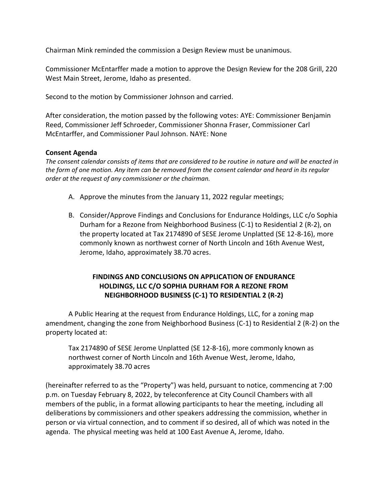Chairman Mink reminded the commission a Design Review must be unanimous.

Commissioner McEntarffer made a motion to approve the Design Review for the 208 Grill, 220 West Main Street, Jerome, Idaho as presented.

Second to the motion by Commissioner Johnson and carried.

After consideration, the motion passed by the following votes: AYE: Commissioner Benjamin Reed, Commissioner Jeff Schroeder, Commissioner Shonna Fraser, Commissioner Carl McEntarffer, and Commissioner Paul Johnson. NAYE: None

### **Consent Agenda**

*The consent calendar consists of items that are considered to be routine in nature and will be enacted in the form of one motion. Any item can be removed from the consent calendar and heard in its regular order at the request of any commissioner or the chairman.* 

- A. Approve the minutes from the January 11, 2022 regular meetings;
- B. Consider/Approve Findings and Conclusions for Endurance Holdings, LLC c/o Sophia Durham for a Rezone from Neighborhood Business (C-1) to Residential 2 (R-2), on the property located at Tax 2174890 of SESE Jerome Unplatted (SE 12-8-16), more commonly known as northwest corner of North Lincoln and 16th Avenue West, Jerome, Idaho, approximately 38.70 acres.

# **FINDINGS AND CONCLUSIONS ON APPLICATION OF ENDURANCE HOLDINGS, LLC C/O SOPHIA DURHAM FOR A REZONE FROM NEIGHBORHOOD BUSINESS (C-1) TO RESIDENTIAL 2 (R-2)**

A Public Hearing at the request from Endurance Holdings, LLC, for a zoning map amendment, changing the zone from Neighborhood Business (C-1) to Residential 2 (R-2) on the property located at:

Tax 2174890 of SESE Jerome Unplatted (SE 12-8-16), more commonly known as northwest corner of North Lincoln and 16th Avenue West, Jerome, Idaho, approximately 38.70 acres

(hereinafter referred to as the "Property") was held, pursuant to notice, commencing at 7:00 p.m. on Tuesday February 8, 2022, by teleconference at City Council Chambers with all members of the public, in a format allowing participants to hear the meeting, including all deliberations by commissioners and other speakers addressing the commission, whether in person or via virtual connection, and to comment if so desired, all of which was noted in the agenda. The physical meeting was held at 100 East Avenue A, Jerome, Idaho.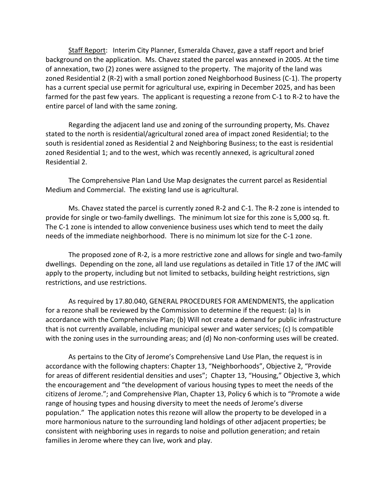Staff Report: Interim City Planner, Esmeralda Chavez, gave a staff report and brief background on the application. Ms. Chavez stated the parcel was annexed in 2005. At the time of annexation, two (2) zones were assigned to the property. The majority of the land was zoned Residential 2 (R-2) with a small portion zoned Neighborhood Business (C-1). The property has a current special use permit for agricultural use, expiring in December 2025, and has been farmed for the past few years. The applicant is requesting a rezone from C-1 to R-2 to have the entire parcel of land with the same zoning.

Regarding the adjacent land use and zoning of the surrounding property, Ms. Chavez stated to the north is residential/agricultural zoned area of impact zoned Residential; to the south is residential zoned as Residential 2 and Neighboring Business; to the east is residential zoned Residential 1; and to the west, which was recently annexed, is agricultural zoned Residential 2.

The Comprehensive Plan Land Use Map designates the current parcel as Residential Medium and Commercial. The existing land use is agricultural.

Ms. Chavez stated the parcel is currently zoned R-2 and C-1. The R-2 zone is intended to provide for single or two-family dwellings. The minimum lot size for this zone is 5,000 sq. ft. The C-1 zone is intended to allow convenience business uses which tend to meet the daily needs of the immediate neighborhood. There is no minimum lot size for the C-1 zone.

The proposed zone of R-2, is a more restrictive zone and allows for single and two-family dwellings. Depending on the zone, all land use regulations as detailed in Title 17 of the JMC will apply to the property, including but not limited to setbacks, building height restrictions, sign restrictions, and use restrictions.

As required by 17.80.040, GENERAL PROCEDURES FOR AMENDMENTS, the application for a rezone shall be reviewed by the Commission to determine if the request: (a) Is in accordance with the Comprehensive Plan; (b) Will not create a demand for public infrastructure that is not currently available, including municipal sewer and water services; (c) Is compatible with the zoning uses in the surrounding areas; and (d) No non-conforming uses will be created.

As pertains to the City of Jerome's Comprehensive Land Use Plan, the request is in accordance with the following chapters: Chapter 13, "Neighborhoods", Objective 2, "Provide for areas of different residential densities and uses"; Chapter 13, "Housing," Objective 3, which the encouragement and "the development of various housing types to meet the needs of the citizens of Jerome."; and Comprehensive Plan, Chapter 13, Policy 6 which is to "Promote a wide range of housing types and housing diversity to meet the needs of Jerome's diverse population." The application notes this rezone will allow the property to be developed in a more harmonious nature to the surrounding land holdings of other adjacent properties; be consistent with neighboring uses in regards to noise and pollution generation; and retain families in Jerome where they can live, work and play.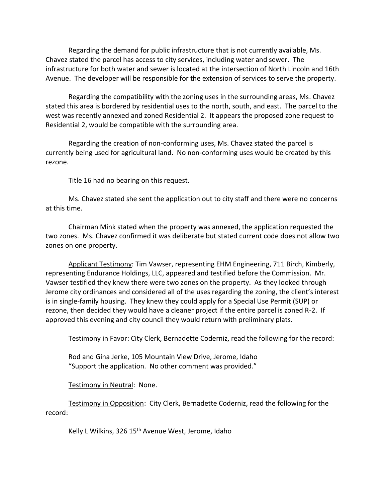Regarding the demand for public infrastructure that is not currently available, Ms. Chavez stated the parcel has access to city services, including water and sewer. The infrastructure for both water and sewer is located at the intersection of North Lincoln and 16th Avenue. The developer will be responsible for the extension of services to serve the property.

Regarding the compatibility with the zoning uses in the surrounding areas, Ms. Chavez stated this area is bordered by residential uses to the north, south, and east. The parcel to the west was recently annexed and zoned Residential 2. It appears the proposed zone request to Residential 2, would be compatible with the surrounding area.

Regarding the creation of non-conforming uses, Ms. Chavez stated the parcel is currently being used for agricultural land. No non-conforming uses would be created by this rezone.

Title 16 had no bearing on this request.

Ms. Chavez stated she sent the application out to city staff and there were no concerns at this time.

Chairman Mink stated when the property was annexed, the application requested the two zones. Ms. Chavez confirmed it was deliberate but stated current code does not allow two zones on one property.

Applicant Testimony: Tim Vawser, representing EHM Engineering, 711 Birch, Kimberly, representing Endurance Holdings, LLC, appeared and testified before the Commission. Mr. Vawser testified they knew there were two zones on the property. As they looked through Jerome city ordinances and considered all of the uses regarding the zoning, the client's interest is in single-family housing. They knew they could apply for a Special Use Permit (SUP) or rezone, then decided they would have a cleaner project if the entire parcel is zoned R-2. If approved this evening and city council they would return with preliminary plats.

Testimony in Favor: City Clerk, Bernadette Coderniz, read the following for the record:

Rod and Gina Jerke, 105 Mountain View Drive, Jerome, Idaho "Support the application. No other comment was provided."

Testimony in Neutral: None.

Testimony in Opposition: City Clerk, Bernadette Coderniz, read the following for the record:

Kelly L Wilkins, 326 15<sup>th</sup> Avenue West, Jerome, Idaho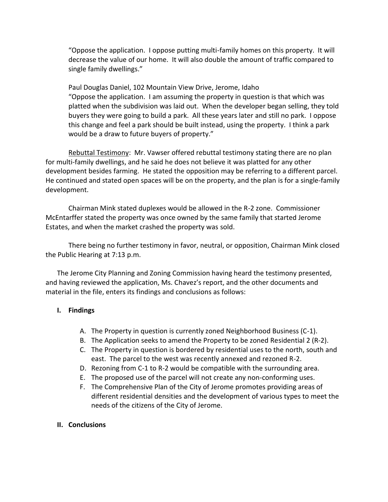"Oppose the application. I oppose putting multi-family homes on this property. It will decrease the value of our home. It will also double the amount of traffic compared to single family dwellings."

Paul Douglas Daniel, 102 Mountain View Drive, Jerome, Idaho "Oppose the application. I am assuming the property in question is that which was platted when the subdivision was laid out. When the developer began selling, they told buyers they were going to build a park. All these years later and still no park. I oppose this change and feel a park should be built instead, using the property. I think a park would be a draw to future buyers of property."

Rebuttal Testimony: Mr. Vawser offered rebuttal testimony stating there are no plan for multi-family dwellings, and he said he does not believe it was platted for any other development besides farming. He stated the opposition may be referring to a different parcel. He continued and stated open spaces will be on the property, and the plan is for a single-family development.

Chairman Mink stated duplexes would be allowed in the R-2 zone. Commissioner McEntarffer stated the property was once owned by the same family that started Jerome Estates, and when the market crashed the property was sold.

There being no further testimony in favor, neutral, or opposition, Chairman Mink closed the Public Hearing at 7:13 p.m.

The Jerome City Planning and Zoning Commission having heard the testimony presented, and having reviewed the application, Ms. Chavez's report, and the other documents and material in the file, enters its findings and conclusions as follows:

# **I. Findings**

- A. The Property in question is currently zoned Neighborhood Business (C-1).
- B. The Application seeks to amend the Property to be zoned Residential 2 (R-2).
- C. The Property in question is bordered by residential uses to the north, south and east. The parcel to the west was recently annexed and rezoned R-2.
- D. Rezoning from C-1 to R-2 would be compatible with the surrounding area.
- E. The proposed use of the parcel will not create any non-conforming uses.
- F. The Comprehensive Plan of the City of Jerome promotes providing areas of different residential densities and the development of various types to meet the needs of the citizens of the City of Jerome.

# **II. Conclusions**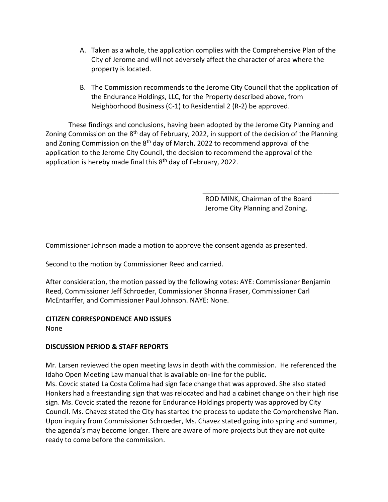- A. Taken as a whole, the application complies with the Comprehensive Plan of the City of Jerome and will not adversely affect the character of area where the property is located.
- B. The Commission recommends to the Jerome City Council that the application of the Endurance Holdings, LLC, for the Property described above, from Neighborhood Business (C-1) to Residential 2 (R-2) be approved.

These findings and conclusions, having been adopted by the Jerome City Planning and Zoning Commission on the 8<sup>th</sup> day of February, 2022, in support of the decision of the Planning and Zoning Commission on the 8<sup>th</sup> day of March, 2022 to recommend approval of the application to the Jerome City Council, the decision to recommend the approval of the application is hereby made final this  $8<sup>th</sup>$  day of February, 2022.

> ROD MINK, Chairman of the Board Jerome City Planning and Zoning.

\_\_\_\_\_\_\_\_\_\_\_\_\_\_\_\_\_\_\_\_\_\_\_\_\_\_\_\_\_\_\_\_\_\_\_\_

Commissioner Johnson made a motion to approve the consent agenda as presented.

Second to the motion by Commissioner Reed and carried.

After consideration, the motion passed by the following votes: AYE: Commissioner Benjamin Reed, Commissioner Jeff Schroeder, Commissioner Shonna Fraser, Commissioner Carl McEntarffer, and Commissioner Paul Johnson. NAYE: None.

### **CITIZEN CORRESPONDENCE AND ISSUES**

None

# **DISCUSSION PERIOD & STAFF REPORTS**

Mr. Larsen reviewed the open meeting laws in depth with the commission. He referenced the Idaho Open Meeting Law manual that is available on-line for the public. Ms. Covcic stated La Costa Colima had sign face change that was approved. She also stated Honkers had a freestanding sign that was relocated and had a cabinet change on their high rise sign. Ms. Covcic stated the rezone for Endurance Holdings property was approved by City Council. Ms. Chavez stated the City has started the process to update the Comprehensive Plan. Upon inquiry from Commissioner Schroeder, Ms. Chavez stated going into spring and summer, the agenda's may become longer. There are aware of more projects but they are not quite ready to come before the commission.